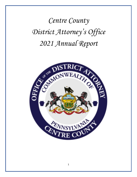*Centre County District Attorney's Office 2021 Annual Report*

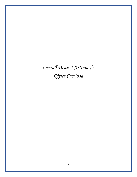*Overall District Attorney's Office Caseload*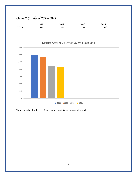# *Overall Caseload 2018-2021*

|      | 2019<br>2018 | 2010<br>∠∪⊥ | 2020           | 2021  |
|------|--------------|-------------|----------------|-------|
| TAL: | 2986         | 2866        | วววว<br>، دے ے | 2165* |



\*totals pending the Centre County court administration annual report.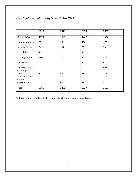# *Caseload Breakdown by Type 2018-2021*

|                                      | 2018        | 2019 | 2020 | 2021* |
|--------------------------------------|-------------|------|------|-------|
| <b>Criminal Cases</b>                | 1970        | 1695 | 1467 | 1432  |
| <b>Summary Appeals</b>               | 87          | 90   | 100  | 172   |
| Juvenile Cases                       | 94          | 101  | 88   | 59    |
| Extraditions                         | 27          | 27   | 14   | 22    |
| Expungements                         | 690         | 834  | 341  | 314   |
| Forfeitures                          | 40          | 37   | 5    | 6     |
| <b>Indirect Criminal</b><br>Contempt | 47          | 27   | 52   | $40+$ |
| Search<br>Warrants/Court<br>Orders   | 31          | 55   | 152  | 112   |
| Consensuals                          | $\mathbf 0$ | 0    | 18   | 8     |
| Total                                | 2986        | 2866 | 2237 | 2165  |

\*internal figures, pending Centre County Court Administration annual report.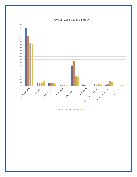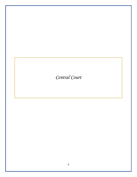# *Central Court*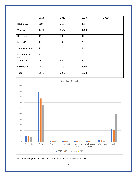

\*totals pending the Centre County court administration annual report.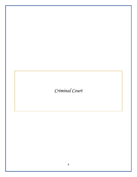*Criminal Court*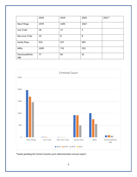|                       | 2018 | 2019 | 2020           | 2021* |
|-----------------------|------|------|----------------|-------|
| <b>New Filings</b>    | 1970 | 1695 | 1467           |       |
| <b>Jury Trials</b>    | 18   | 17   | $\overline{2}$ |       |
| Non-Jury Trials       | 10   | 8    | 8              |       |
| <b>Guilty Pleas</b>   | 925  | 917  | 493            |       |
| ARDs                  | 1009 | 752  | 553            |       |
| Dismissed/Rule<br>586 | 77   | 84   | 61             |       |



\*totals pending the Centre County court administration annual report.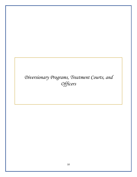# *Diversionary Programs, Treatment Courts, and Officers*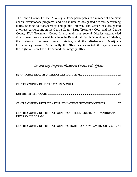The Centre County District Attorney's Office participates in a number of treatment courts, diversionary programs, and also maintains designated officers performing duties relating to transparency and public interest. The Office has designated attorneys participating in the Centre County Drug Treatment Court and the Centre County DUI Treatment Court. It also maintains several District Attorney-led diversionary programs which include the Behavioral Health Diversionary Initiative, the Veterans Treatment Track Initiative, and the Misdemeanor Marijuana Diversionary Program. Additionally, the Office has designated attorneys serving as the Right to Know Law Officer and the Integrity Officer.

#### *Diversionary Programs, Treatment Courts, and Officers*

| <b>CENTRE COUNTY DISTRICT ATTORNEY'S OFFICE INTEGRITY OFFICER 37</b> |  |
|----------------------------------------------------------------------|--|
| CENTRE COUNTY DISTRICT ATTORNEY'S OFFICE MISDEMEANOR MARIJUANA       |  |

[CENTRE COUNTY DISTRICT ATTORNEY'S RIGHT TO KNOW LAW REPORT 2021....](#page-43-0) 44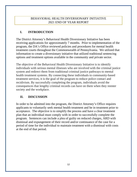#### BEHAVIORAL HEALTH DIVERSIONARY INITIATIVE 2021 END OF YEAR REPORT

#### <span id="page-11-0"></span>**I. INTRODUCTION**

The District Attorney's Behavioral Health Diversionary Initiative has been receiving applications for approximately 7 months. Prior to implementation of the program, the DA's Office reviewed policies and procedures for mental health treatment courts throughout the Commonwealth of Pennsylvania. We utilized that information to create a diversionary initiative that utilized traditional sentencing options and treatment options available in the community and private sector.

The objective of the Behavioral Health Diversionary Initiative is to identify individuals with serious mental illnesses who are involved with the criminal justice system and redirect them from traditional criminal justice pathways to mental health treatment systems. By connecting these individuals to community-based treatment services, it is the goal of the program to reduce police contact and recidivism. By successfully completing the program, individuals avoid the consequences that lengthy criminal records can have on them when they reenter society and the workplace.

#### **II. DISCUSSION**

In order to be admitted into the program, the District Attorney's Office requires applicants to voluntarily seek mental health treatment and be in treatment prior to acceptance. The objective is to simplify the process and have a clear treatment plan that an individual must comply with in order to successfully complete the program. Sentences can include a plea of guilty on reduced charges, ARD with dismissal and expungement of their record and/or continuance of the case for a period of time for the individual to maintain treatment with a dismissal with costs at the end of that period.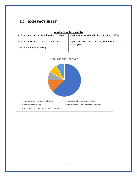### **III. BHDI FACT SHEET**

| <b>Applications Received: 24</b>              |                                                              |  |  |  |  |
|-----------------------------------------------|--------------------------------------------------------------|--|--|--|--|
| Applications Approved for Admission: 15 (63%) | Applications Denied (Lack of Information): 2 (8%)            |  |  |  |  |
| Applications Denied for Admission: 3 (13%)    | Applications – Other (Dismissed, Withdrawn,<br>etc.): 2 (8%) |  |  |  |  |
| Applications Pending: 2 (8%)                  |                                                              |  |  |  |  |

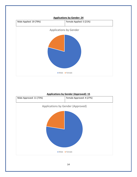

#### **Applications by Gender (Approved): 15**

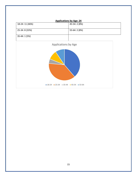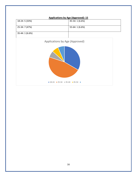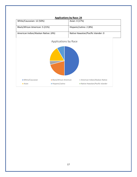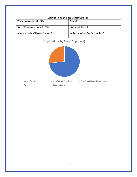

#### **Applications by Race (Approved): 15**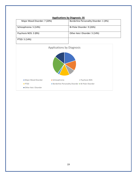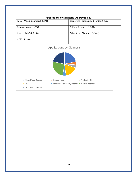

#### **Applications by Diagnosis (Approved): 20**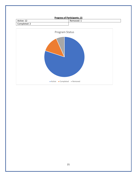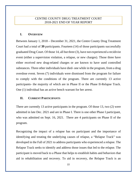#### CENTRE COUNTY DRUG TREATMENT COURT 2018-2021 END OF YEAR REPORT

#### <span id="page-21-0"></span>**I. OVERVIEW**

Between January 1, 2018 – December 31, 2021, the Centre County Drug Treatment Court had a total of **39** participants. Fourteen (14) of those participants successfully graduated Drug Court. Of those 14, all but three (3), have not experienced a recidivist event (either a supervision violation, a relapse, or new charges). Those three have either received new drug-related charges or are known to have used controlled substances. Three other individuals have died- one while in the program, from a drug overdose event. Seven (7) individuals were dismissed from the program for failure to comply with the conditions of the program. There are currently 13 active participants- the majority of which are in Phase II or the Phase II-Relapse Track. One (1) individual has an active bench warrant for her arrest.

#### **II. CURRENT PARTICIPANTS**

There are currently 13 active participants in the program. Of those 13, two (2) were admitted in late Dec. 2021 and are in Phase I. There is one other Phase I participant, who was admitted on Sept. 16, 2021. There are 4 participants on Phase II of the program.

Recognizing the impact of a relapse has on participant and the importance of identifying and treating the underlying causes of relapse, a "Relapse Track" was developed in the Fall of 2021 to address participants who experienced a relapse. The Relapse Track seeks to identify and address those issues that led to the relapse. The participant is moved back to a Phase that helps to establish habits and behaviors that aid in rehabilitation and recovery. To aid in recovery, the Relapse Track is an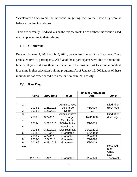"accelerated" track to aid the individual in getting back to the Phase they were at before experiencing relapse.

There are currently 3 individuals on the relapse track. Each of these individuals used methamphetamine in their relapse.

#### **III. GRADUATES**

Between January 1, 2021 – July 8, 2021, the Centre County Drug Treatment Court graduated five (5) participants. All five of those participants were able to obtain fulltime employment during their participation in the program. At least one individual is seeking higher education/training programs. As of January 19, 2022, none of these individuals has experienced a relapse or new criminal activity.

|               |             |                   |                      | <b>Removal/Graduation</b> |                  |
|---------------|-------------|-------------------|----------------------|---------------------------|------------------|
|               | <b>Name</b> | <b>Entry Date</b> | <b>Result</b>        | <b>Date</b>               | <b>Other</b>     |
|               |             |                   |                      |                           |                  |
|               |             |                   |                      |                           |                  |
| $\mathbf 1$ . |             |                   | Administrative       |                           | Died after       |
|               | 2018-1      | 1/25/2018         | <b>Discharge</b>     | 7/1/2019                  | discharge        |
| 2.            | 2018-2      | 1/25/2018         | Death                | N/A                       |                  |
| 3.            |             |                   | Administrative       |                           | Died after       |
|               | 2018-3      | 3/22/2018         | <b>Discharge</b>     | 1/24/2020                 | discharge        |
| 4.            |             |                   | Revoked to           |                           |                  |
|               | 2018-4      | 3/22/2018         | <b>SCI-Technical</b> | 5/2/2019                  |                  |
| 5.            |             |                   | Revoked to           |                           |                  |
|               | 2018-5      | 3/22/2018         | <b>SCI-Technical</b> | 10/22/2018                |                  |
| 6.            | 2018-6      | 4/19/2018         | Graduated            | 2/20/2020                 |                  |
| 7.            | 2018-7      | 4/27/2018         | Graduated            | 8/8/2019                  |                  |
| 8.            | 2018-8      | 6/5/2018          | Graduated            | 7/9/2020                  |                  |
| 9.            | 2018-9      | 6/28/2018         | Graduated            | 8/8/2019                  |                  |
| 10.           |             |                   |                      |                           | Revoked          |
|               |             |                   |                      |                           | after            |
|               |             |                   |                      |                           | Grad.            |
|               |             |                   |                      |                           | SCI-             |
|               | 2018-10     | 8/9/2018          | Graduated            | 3/5/2020                  | <b>Technical</b> |

#### **IV. Raw Data**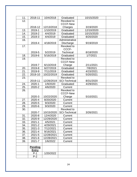| 11. | 2018-11        | 10/4/2018  | Graduated            | 10/15/2020 |  |
|-----|----------------|------------|----------------------|------------|--|
| 12. |                |            | Revoked to           |            |  |
|     |                |            | <b>CCCF-New</b>      |            |  |
|     | 2018-12        | 12/13/2018 | Charges              | 3/19/2020  |  |
| 13. | 2019-1         | 1/10/2019  | Graduated            | 12/10/2020 |  |
| 14. | 2019-2         | 4/4/2019   | Graduated            | 10/15/2020 |  |
| 15. | 2019-3         | 4/4/2019   | Graduated            | 8/20/2020  |  |
| 16. |                |            | Administrative       |            |  |
|     | 2019-4         | 4/18/2019  | <b>Discharge</b>     | 9/19/2019  |  |
| 17. |                |            | Revoked to           |            |  |
|     |                |            | CCCF-                |            |  |
|     | 2019-5         | 5/2/2019   | <b>Technical</b>     | 8/18/2020  |  |
| 18. | 2019-6         | 5/16/2019  | Graduated            | 1/7/2021   |  |
| 19. |                |            | Revoked to           |            |  |
|     |                |            | <b>CCCF-New</b>      |            |  |
|     | 2019-7         | 6/13/2019  | Charge               | 2/11/2021  |  |
| 20. | 2019-8         | 6/27/2019  | Graduated            | 7/8/2021   |  |
| 21. | 2019-9         | 7/11/2019  | Graduated            | 4/15/2021  |  |
| 22. | 2019-10        | 10/22/2019 | Graduated            | 5/20/2021  |  |
| 23. |                |            | Revoked to           |            |  |
|     | 2019-11        | 12/26/2019 | <b>SCI-Technical</b> | 8/31/2020  |  |
| 24. | 2020-1         | 1/9/2020   | Graduated            | 4/29/2021  |  |
| 25. | 2020-2         | 4/6/2020   | Current              |            |  |
| 26. |                |            | Revoked to           |            |  |
|     |                |            | <b>CCCF-New</b>      |            |  |
|     | 2020-3         | 10/22/2020 | Charge               | 5/10/2021  |  |
| 27. | 2020-4         | 8/20/2020  | Current              |            |  |
| 28. | 2020-5         | 9/3/2020   | Current              |            |  |
| 29. | 2020-6         | 9/3/2020   | Current              |            |  |
| 30. |                |            | Revoked to           |            |  |
|     | 2020-7         | 10/15/2020 | <b>SCI-Technical</b> | 3/26/2021  |  |
| 31. | 2020-8         | 12/4/2020  | Current              |            |  |
| 32. | 2020-9         | 12/29/2020 | Current              |            |  |
| 33. | $2021 - 1$     | 4/5/2021   | Current              |            |  |
| 34. | 2021-2         | 4/29/2021  | Current              |            |  |
| 35. | $2021 - 3$     | 7/12/2021  | Current              |            |  |
| 36. | 2021-4         | 9/16/2021  | Current              |            |  |
| 37. | 2021-5         | 12/28/2021 | Current              |            |  |
| 38. | $2021 - 6$     | 12/28/2021 | Current              |            |  |
| 39. | 2021-7         | 1/6/2022   | Current              |            |  |
|     |                |            |                      |            |  |
|     | <b>Pending</b> |            |                      |            |  |
|     | <b>Entry</b>   |            |                      |            |  |
|     | $P-1$          | 1/20/2022  |                      |            |  |
|     | $P-2$          |            |                      |            |  |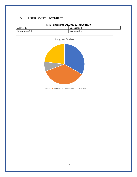### **V. DRUG COURT FACT SHEET**



#### **Total Participants 1/1/2018-12/31/2021: 39**

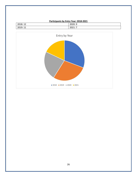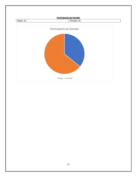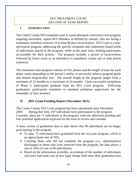#### DUI TREATMENT COURT 2021 END OF YEAR REPORT

#### <span id="page-27-0"></span>**I. INTRODUCTION**

The Centre County DUI treatment court is a post-plea/post-conviction court program targeting nonviolent, repeat DUI offenders as defined by statutes, who are facing a mandatory minimum sentence of at least 90 days incarceration. DUI Court is a nonadversarial program, addressing the specific treatment and community-based needs of individuals placed in the program, while at the same time, holding participants accountable for their actions. The program includes a period of incarceration followed by house arrest as an alternative to mandatory county jail or state prison sentences.

The treatment court program consists of five phases and the length of time for each phase varies depending on the person's ability to successful achieve program goals and remain drug/alcohol free. The overall length of the program ranges from a minimum of 22 months to a maximum of 24 months. Upon successful completion of Phase 5, participants graduate from the DUI Court program. Following graduation, participants transition to standard probation supervision for the remainder of their sentence.

#### **II. 2021 Grant Funding Report (November 2021)**

The Centre County DUI Court program has been operational since December 2009. During that time, 107 individuals have participated in the program. Currently, there are 11 individuals in the program, with one admission pending and four potential applications expected for the team to review and consider.

A basic review of graduation data to date shows that 96 individuals are no longer participating in the program.

- To date, 73 individuals have graduated from the two-year program, which is an approximate rate of 76%.
- Counting those who did not complete the program (i.e., administrative discharges) or those who were removed from the program, the data shows a rate of 24% (23 out of 96 individuals).
- Based on the information available, an estimate of the number of individuals who have had some sort of new legal charge filed since their graduation (not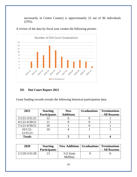necessarily in Centre County) is approximately 22 out of 96 individuals (23%).

A review of the data by fiscal year creates the following picture:



## **III. Dui Court Report 2021**

Grant funding records reveals the following historical participation data:

| 2021               | <b>Starting</b>     | <b>New</b>       | <b>Graduations</b> | <b>Terminations</b> |
|--------------------|---------------------|------------------|--------------------|---------------------|
|                    | <b>Participants</b> | <b>Additions</b> |                    | - All Reasons       |
| $1/1/21 - 3/31/21$ |                     |                  |                    |                     |
| $4/1/21 - 6/30/21$ |                     |                  |                    |                     |
| $7/1/21 - 9/30/21$ |                     |                  |                    |                     |
| $10/1/21$ -        |                     |                  |                    |                     |
| 12/31/21           |                     |                  |                    |                     |
| <b>Totals</b>      |                     |                  |                    |                     |

| 2020               | <b>Starting</b><br><b>Participants</b> | <b>New Additions   Graduations   Terminations</b> | - All Reasons |
|--------------------|----------------------------------------|---------------------------------------------------|---------------|
| $1/1/20 - 3/31/20$ |                                        | 3(2 from<br>Mifflin)                              |               |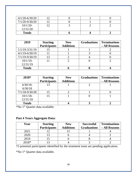| $4/1/20 - 6/30/20$ |  |  |
|--------------------|--|--|
| $7/1/20 - 9/30/20$ |  |  |
| $10/1/20$ -        |  |  |
| 12/31/20           |  |  |
| <b>Totals</b>      |  |  |

| 2019               | <b>Starting</b>     | <b>New</b>       | <b>Graduations</b> | <b>Terminations</b> |
|--------------------|---------------------|------------------|--------------------|---------------------|
|                    | <b>Participants</b> | <b>Additions</b> |                    | - All Reasons       |
| $1/1/19 - 3/31/19$ |                     |                  |                    |                     |
| $4/1/19 - 6/30/19$ |                     |                  |                    |                     |
| $7/1/19 - 9/30/19$ | 13                  |                  |                    |                     |
| $10/1/19$ -        |                     |                  |                    |                     |
| 12/31/19           |                     |                  |                    |                     |
| <b>Totals</b>      |                     |                  |                    |                     |

| 2018*              | <b>Starting</b>     | <b>New</b>       | <b>Graduations</b> | <b>Terminations</b> |
|--------------------|---------------------|------------------|--------------------|---------------------|
|                    | <b>Participants</b> | <b>Additions</b> |                    | - All Reasons       |
| $4/30/18$ -        |                     |                  |                    |                     |
| 6/30/18            |                     |                  |                    |                     |
| $7/1/18 - 9/30/28$ | 15                  |                  |                    |                     |
| $10/1/18$ -        |                     |                  |                    |                     |
| 12/31/18           |                     |                  |                    |                     |
| <b>Totals</b>      |                     |                  |                    |                     |

\*No 1st Quarter data available.

## **Past 4 Years Aggregate Data:**

| Year    | <b>Starting</b>     | <b>New</b>       | <b>Successful</b>  | <b>Terminations</b> |  |
|---------|---------------------|------------------|--------------------|---------------------|--|
|         | <b>Participants</b> | <b>Additions</b> | <b>Graduations</b> | - All Reasons       |  |
| 2021    |                     |                  |                    |                     |  |
| 2020    |                     |                  |                    |                     |  |
| 2019    |                     |                  |                    |                     |  |
| $2018*$ |                     |                  |                    |                     |  |

†5 potential participants identified by the treatment team are pending application.

\*No 1st Quarter data available.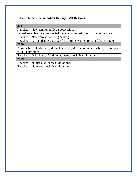#### **IV. Recent Termination History – All Reasons:**

#### **2021**

Revoked – New conviction/Drug possession.

Passed away from an unexpected medical issue just prior to graduation date.

Revoked – New conviction/Drug dealing.

 $Revoked - Absconded/Drug usage for 3<sup>rd</sup> time, wanted removed from program.$ **2020**

Administratively discharged due to a *bona fide* nonvoluntary inability to comply with the program.

Revoked – Drinking for 3rd time, numerous technical violations.

**2019**

Revoked – Numerous technical violations.

Revoked – Numerous technical violations.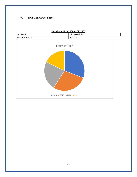#### **V. DUI Court Fact Sheet**

| Participants from 2009-2021: 107 |               |  |  |
|----------------------------------|---------------|--|--|
| Active: 11                       | Dismissed: 23 |  |  |
| Graduated: 73                    | 2021:7        |  |  |

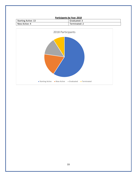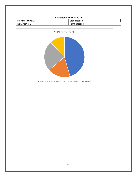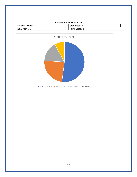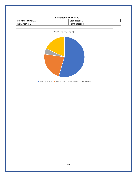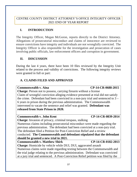#### <span id="page-36-0"></span>CENTRE COUNTY DISTRICT ATTORNEY'S OFFICE INTEGRITY OFFICER 2021 END OF YEAR REPORT

#### **I. INTRODUCTION**

The Integrity Officer, Megan McGoron, reports directly to the District Attorney. Allegations of prosecutorial misconduct and claims of innocence are reviewed to ensure convictions have integrity and individuals are not wrongfully convicted. The Integrity Officer is also responsible for the investigation and prosecution of cases involving public officials, law enforcement officers and corruption in government.

#### **II. DISCUSSION**

During the last 4 years, there have been 10 files reviewed by the Integrity Unit related to the process and validity of convictions. The following integrity reviews were granted in full or part:

### **A. CLAIMS FILED AND APPROVED**

#### **Commonwealth v. Aina** CP-14-CR-0688-2015

**Charge:** Person not to possess, carrying firearm without a license Claim of wrongful conviction alleging evidence presented at trial did not satisfy the crime. Defendant had been convicted in a non-jury trial and sentenced to 3 – 6 years in prison during the previous administration. The Commonwealth intervened to vacate the sentence and relief was granted. **Defendant was released from State Prison in 2020.**

#### Commonwealth v. John Kent CP-14-CR-0839-2014 **Charge:** Invasion of privacy, criminal trespass, stalking Numerous claims including prosecutorial misconduct were made regarding the previous administration. The defendant had been convicted at a non-jury trial. The defendant filed a Petition for Post-Conviction Relief and a review conducted. **The Commonwealth and defendant stipulated that the defendant should be granted a new trial in 2021.** Commonwealth v. Matthew Shirk CP-14-CR-0182-2013 **Charge:** Homicide by vehicle while DUI, DUI, aggravated assault Numerous claims were made regarding texting between the Commonwealth and

the trial judge relating to the previous administration. Defendant was convicted at a jury trial and sentenced. A Post-Conviction Relief petition was filed by the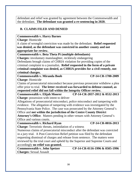defendant and relief was granted by agreement between the Commonwealth and the defendant. **The defendant was granted a re-sentencing in 2020.**

#### **B. CLAIMS FILED AND DENIED**

#### **Commonwealth v. Harry Barnes**

**Charge:** Homicide

A claim of wrongful conviction was made by the defendant. **Relief requested was denied, as the defendant was convicted in another county and not appropriate for review.**

**Commonwealth v. Beta Theta Pi (multiple defendants)**

**Charges:** involuntary manslaughter, recklessly endangering

Defendants brough claims of CHRIA violation for providing copies of the criminal complaint to a journalist**. Relief requested in the form of a private criminal complaint was denied, as CHRIA provides for a civil remedy, not criminal charges.**

**Commonwealth v. Miranda Boob CP-14-CR-1700-2009 Charge:** Homicide

Claims of prosecutorial misconduct because previous prosecutor withdrew a plea offer prior to trial. **The letter received was forwarded to defense counsel, as requested relief did not fall within the Integrity Officer review.**

**Commonwealth v. Elijah Moorer CP-14-CR-2037-2012 & 0532-2013 Charge:** possession with intent to deliver

Allegations of prosecutorial misconduct, police misconduct and tampering with evidence. The allegation of tampering with evidence was investigated by the Pennsylvania State Police. The case was prosecuted by the Attorney General's Office and **not within the jurisdiction of the Centre County District Attorney's Office**. Matters pending in other venues with Attorney General's Office and various courts.

Commonwealth v. Richard Ryan CP-14-CR-0016-2013

**Charge:** Terroristic threats, intimidation of a witness

Numerous claims of prosecutorial misconduct after the defendant was convicted in a jury trial. A Post-Conviction Relief petition was filed by the defendant requesting dismissal of charges and release from sentence. The matters were reviewed by the trial court and upheld by the Superior and Supreme Courts and accordingly **no relief was granted.**

**Charges:** Sexual Assault

**Commonwealth v. John Spetzer CP-14-CR-0116-1996 & 0505-1996**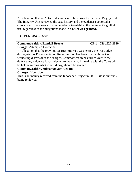An allegation that an ADA told a witness to lie during the defendant's jury trial. The Integrity Unit reviewed the case history and the evidence supported a conviction. There was sufficient evidence to establish the defendant's guilt at trial regardless of the allegations made. **No relief was granted.**

#### **C. PENDING CASES**

#### **Commonwealth v. Randall Brooks CP-14-CR-1927-2010**

**Charge:** Attempted Homicide

An allegation that the previous District Attorney was texting the trial Judge during trial. A Post-Conviction Relief Petition has been filed with the Court requesting dismissal of the charges. Commonwealth has turned over to the defense any evidence it has relevant to the claim. A hearing with the Court will be held regarding what relief, if any, should be granted.

**Commonwealth v. Subramanyam Vedam**

**Charges:** Homicide

This is an inquiry received from the Innocence Project in 2021. File is currently being reviewed.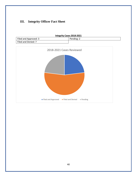# **III. Integrity Officer Fact Sheet**

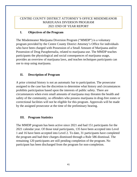#### <span id="page-40-0"></span>CENTRE COUNTY DISTRICT ATTORNEY'S OFFICE MISDEMEANOR MARIJUANA DIVERSON PROGRAM 2021 END OF YEAR REPORT

#### **I. Objectives of the Program**

The Misdemeanor Marijuana Diversion Program ("MMDP") is a voluntary program provided by the Centre County District Attorney's Office for individuals who have been charged with Possession of a Small Amount of Marijuana and/or Possession of Drug Paraphernalia, related to marijuana use. The MMDP teaches participants the physiological and social consequences of marijuana usage, provides an overview of marijuana laws, and teaches techniques participants can use to stop using marijuana.

#### **II. Description of Program**

A prior criminal history is not an automatic bar to participation. The prosecutor assigned to the case has the discretion to determine what history and circumstances prohibits participation based upon the interests of public safety. There are circumstances when even small amounts of marijuana may threaten the health and safety of the community, so offenders who possess marijuana in drug-free zones or correctional facilities will not be eligible for this program. Approvals will be made by the assigned prosecutor at the time of the preliminary hearing.

#### **III. Program Statistics**

The MMDP program has been active since 2021 and had 151 participants for the 2021 calendar year. Of those total participants, 135 have been accepted into Level 1 and 16 have been accepted into Level 2. To date, 31 participants have completed the program and had their charges dismissed through a Rule 586 dismissal. The remaining 120 participants are still pending completion of the program. No participant has been discharged from the program for non-completion.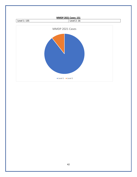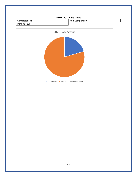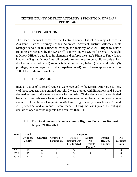#### <span id="page-43-0"></span>CENTRE COUNTY DISTRICT ATTORNEY'S RIGHT TO KNOW LAW REPORT 2021

#### **I. INTRODUCTION**

The Open Records Officer for the Centre County District Attorney's Office is Assistant District Attorney Joshua Andrews. Assistant District Attorney Matt Metzger served in this function through the majority of 2021. Right to Know Requests are received by the DA's Office in writing via US mail or email. A Right to Know Officer's duty is to implement and enforce the state's Right to Know Law. Under the Right to Know Law, all records are presumed to be public records unless disclosure is barred by: (1) state or federal law or regulation; (2) judicial order; (3) privilege, i.e. attorney-client or doctor-patient; or (4) one of the exceptions in Section 708 of the Right to Know Law.

### **II. DISCUSSION**

In 2021, a total of 17 record requests were received by the District Attorney's Office. 4 of those requests were granted outright, 2 were granted with limitations and 5 were deemed as sent to the wrong agency for records. Of the denials – 6 were denied because no records were found and 1 request was denied because the records were exempt. The volume of requests in 2021 were significantly down from 2018 and 2019, when 55 and 40 requests were made. During the last 4 years, the outright denials of open records requests has been less than 1%.

#### **III. District Attorney of Centre County Right to Know Law Request Report 2018 – 2021**

| Year | <b>Total</b>                    | <b>Response</b> |                                  |                                                           |                                                        |                                             |                                    |
|------|---------------------------------|-----------------|----------------------------------|-----------------------------------------------------------|--------------------------------------------------------|---------------------------------------------|------------------------------------|
|      | <b>Request</b><br><b>Volume</b> | Granted         | Granted w/<br><b>Limitations</b> | <b>Notice</b><br><b>Request was</b><br><b>Misdirected</b> | Denied -<br>N <sub>0</sub><br><b>Records</b><br>Found* | Denied -<br><b>Records</b><br><b>Exempt</b> | N <sub>0</sub><br>response<br>Data |
| 2021 | 17                              |                 |                                  |                                                           |                                                        |                                             |                                    |
| 2020 | 22                              |                 |                                  |                                                           |                                                        |                                             |                                    |
| 2019 | 40                              |                 | 10                               | 10                                                        | 12                                                     |                                             |                                    |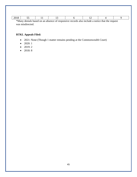| *Many denials based on an absence of responsive records also include a notice that the request |  |  |  |  |  |  |  |
|------------------------------------------------------------------------------------------------|--|--|--|--|--|--|--|

was misdirected.

#### **RTKL Appeals Filed:**

- 2021: None (Though 1 matter remains pending at the Commonwealth Court)
- 2020: 1
- 2019: 2
- 2018:  $8$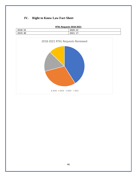# **IV. Right to Know Law Fact Sheet**

| RTKL Requests 2018-2021 |          |  |  |  |
|-------------------------|----------|--|--|--|
| 2018: 55                | 2020: 22 |  |  |  |
| 2019: 40                | 2021:17  |  |  |  |

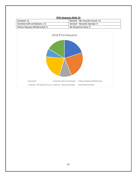

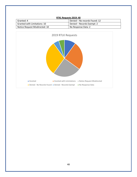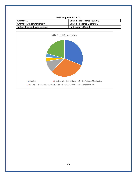